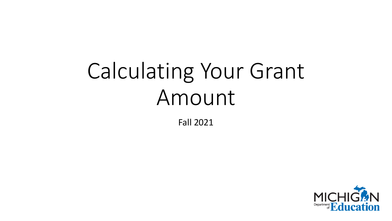# Calculating Your Grant Amount

Fall 2021

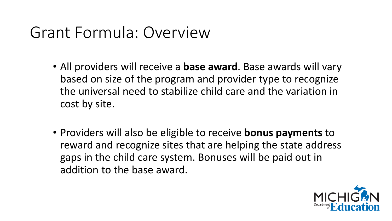#### Grant Formula: Overview

- All providers will receive a **base award**. Base awards will vary based on size of the program and provider type to recognize the universal need to stabilize child care and the variation in cost by site.
- Providers will also be eligible to receive **bonus payments** to reward and recognize sites that are helping the state address gaps in the child care system. Bonuses will be paid out in addition to the base award.

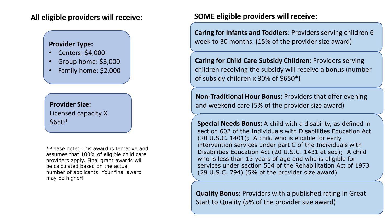#### **All eligible providers will receive:**

#### **Provider Type:**

- Centers: \$4,000
- Group home: \$3,000
- Family home: \$2,000

#### **Provider Size:**  Licensed capacity X \$650\*

\*Please note: This award is tentative and assumes that 100% of eligible child care providers apply. Final grant awards will be calculated based on the actual number of applicants. Your final award may be higher!

#### **SOME eligible providers will receive:**

**Caring for Infants and Toddlers:** Providers serving children 6 week to 30 months. (15% of the provider size award)

**Caring for Child Care Subsidy Children:** Providers serving children receiving the subsidy will receive a bonus (number of subsidy children x 30% of \$650\*)

**Non-Traditional Hour Bonus:** Providers that offer evening and weekend care (5% of the provider size award)

**Special Needs Bonus:** A child with a disability, as defined in section 602 of the Individuals with Disabilities Education Act (20 U.S.C. 1401); A child who is eligible for early intervention services under part C of the Individuals with Disabilities Education Act (20 U.S.C. 1431 et seq); A child who is less than 13 years of age and who is eligible for services under section 504 of the Rehabilitation Act of 1973 (29 U.S.C. 794) (5% of the provider size award)

**Quality Bonus:** Providers with a published rating in Great Start to Quality (5% of the provider size award)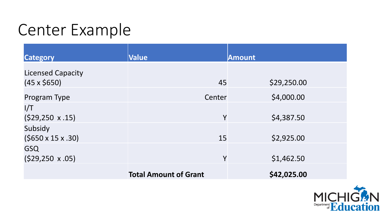## Center Example

| <b>Category</b>                                                            | <b>Value</b>                 | <b>Amount</b>            |
|----------------------------------------------------------------------------|------------------------------|--------------------------|
| <b>Licensed Capacity</b><br>$(45 \times $650)$                             | 45                           | \$29,250.00              |
| Program Type                                                               | Center                       | \$4,000.00               |
| I/T<br>$(529, 250 \times .15)$<br>Subsidy<br>$(5650 \times 15 \times .30)$ | Y<br>15                      | \$4,387.50<br>\$2,925.00 |
| <b>GSQ</b>                                                                 |                              |                          |
| $(529, 250 \times .05)$                                                    | Y                            | \$1,462.50               |
|                                                                            | <b>Total Amount of Grant</b> | \$42,025.00              |

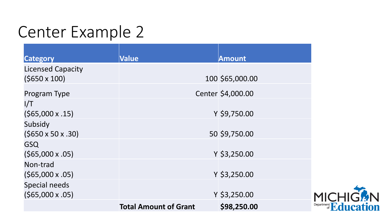### Center Example 2

| <b>Category</b>               | <b>Value</b>                 | Amount            |
|-------------------------------|------------------------------|-------------------|
| <b>Licensed Capacity</b>      |                              |                   |
| $(5650 \times 100)$           |                              | 100 \$65,000.00   |
| Program Type                  |                              | Center \$4,000.00 |
| 1/T                           |                              |                   |
| $($ \$65,000 x .15)           |                              | Y \$9,750.00      |
| Subsidy                       |                              |                   |
| $(5650 \times 50 \times .30)$ |                              | 50 \$9,750.00     |
| <b>GSQ</b>                    |                              |                   |
| $(565,000 \times .05)$        |                              | $Y$ \$3,250.00    |
| Non-trad                      |                              |                   |
| $(565,000 \times .05)$        |                              | Y \$3,250.00      |
| Special needs                 |                              |                   |
| $(565,000 \times .05)$        |                              | $Y$ \$3,250.00    |
|                               | <b>Total Amount of Grant</b> | \$98,250.00       |

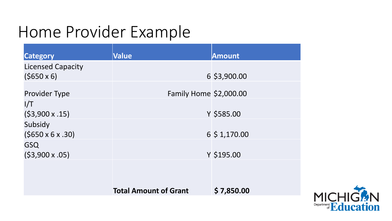#### Home Provider Example

| <b>Category</b>                     | <b>Value</b>                 | Amount                     |
|-------------------------------------|------------------------------|----------------------------|
| <b>Licensed Capacity</b>            |                              |                            |
| $(5650 \times 6)$                   |                              | $6$ \$3,900.00             |
| <b>Provider Type</b>                | Family Home \$2,000.00       |                            |
| I/T                                 |                              |                            |
| $(53,900 \times .15)$               |                              | Y \$585.00                 |
| Subsidy                             |                              |                            |
| $(5650 \times 6 \times .30)$        |                              | $6\frac{1}{2}$ , 1, 170.00 |
| <b>GSQ</b><br>$(53,900 \times .05)$ |                              | Y \$195.00                 |
|                                     |                              |                            |
|                                     | <b>Total Amount of Grant</b> | \$7,850.00                 |

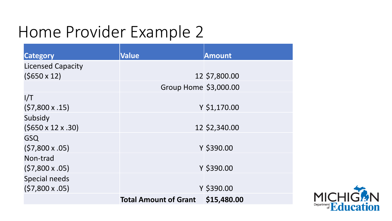### Home Provider Example 2

| <b>Category</b>               | <b>Value</b>                 | Amount        |
|-------------------------------|------------------------------|---------------|
| <b>Licensed Capacity</b>      |                              |               |
| $(5650 \times 12)$            |                              | 12 \$7,800.00 |
|                               | Group Home \$3,000.00        |               |
| I/T                           |                              |               |
| $(57,800 \times .15)$         |                              | Y \$1,170.00  |
| Subsidy                       |                              |               |
| $(5650 \times 12 \times .30)$ |                              | 12 \$2,340.00 |
| <b>GSQ</b>                    |                              |               |
| $(57,800 \times .05)$         |                              | Y \$390.00    |
| Non-trad                      |                              |               |
| $(57,800 \times .05)$         |                              | Y \$390.00    |
| <b>Special needs</b>          |                              |               |
| $(57,800 \times .05)$         |                              | Y \$390.00    |
|                               | <b>Total Amount of Grant</b> | \$15,480.00   |

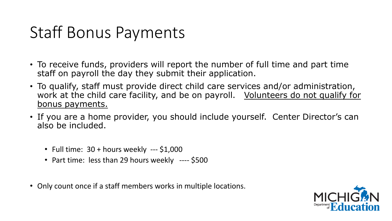#### Staff Bonus Payments

- To receive funds, providers will report the number of full time and part time staff on payroll the day they submit their application.
- To qualify, staff must provide direct child care services and/or administration, work at the child care facility, and be on payroll. Volunteers do not qualify for bonus payments.
- If you are a home provider, you should include yourself. Center Director's can also be included.
	- Full time:  $30 +$  hours weekly  $-$ -- \$1,000
	- Part time: less than 29 hours weekly ---- \$500
- Only count once if a staff members works in multiple locations.

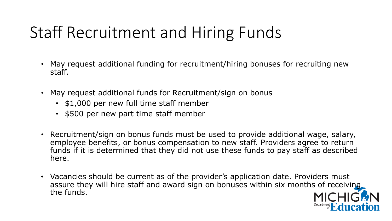### Staff Recruitment and Hiring Funds

- May request additional funding for recruitment/hiring bonuses for recruiting new staff.
- May request additional funds for Recruitment/sign on bonus
	- \$1,000 per new full time staff member
	- \$500 per new part time staff member
- Recruitment/sign on bonus funds must be used to provide additional wage, salary, employee benefits, or bonus compensation to new staff. Providers agree to return funds if it is determined that they did not use these funds to pay staff as described here.
- Vacancies should be current as of the provider's application date. Providers must assure they will hire staff and award sign on bonuses within six months of receiving. the funds.